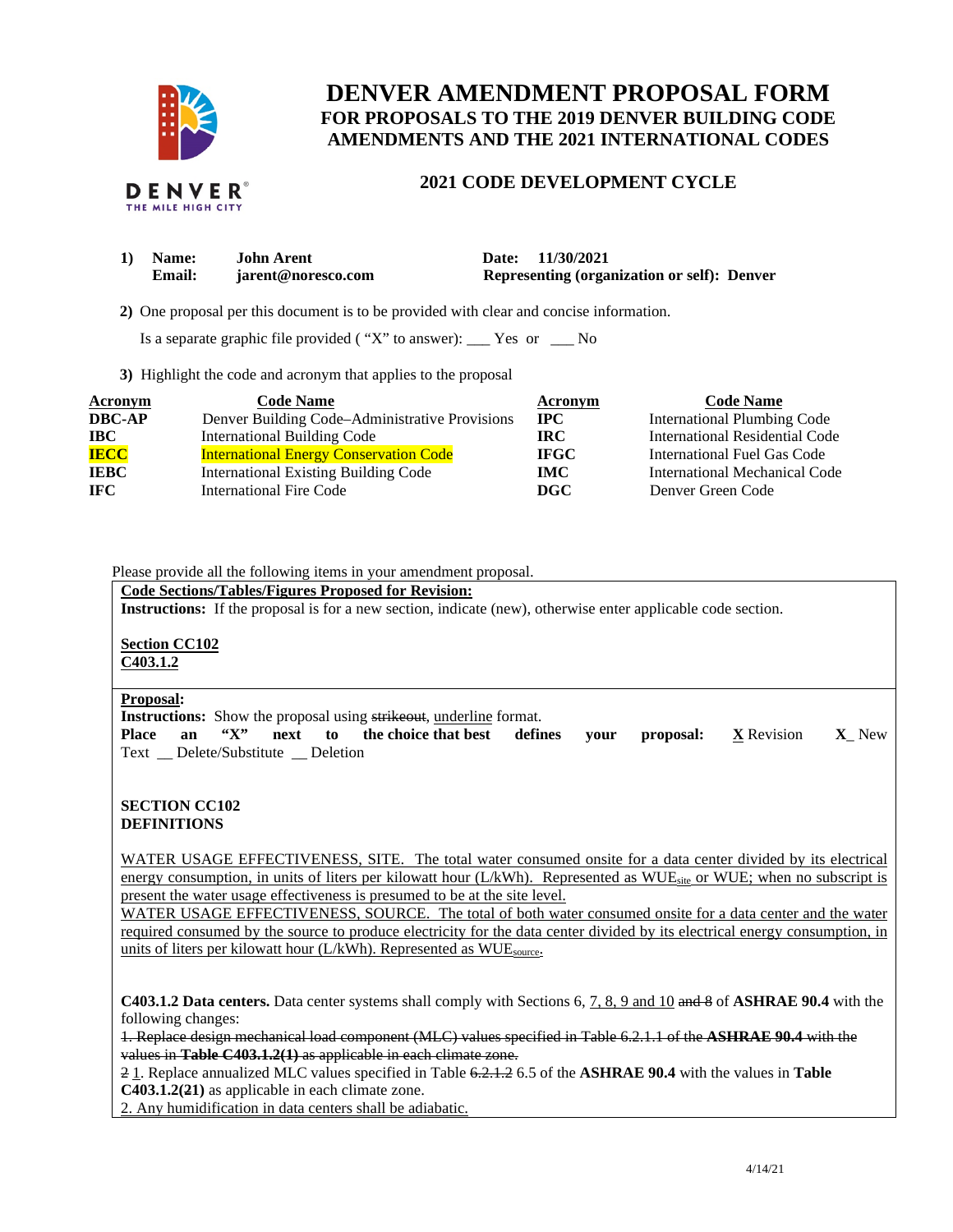

# **DENVER AMENDMENT PROPOSAL FORM FOR PROPOSALS TO THE 2019 DENVER BUILDING CODE AMENDMENTS AND THE 2021 INTERNATIONAL CODES**

# **2021 CODE DEVELOPMENT CYCLE**

| 1) Name: | <b>John Arent</b>  | Date: 11/30/2021                            |
|----------|--------------------|---------------------------------------------|
| Email:   | jarent@noresco.com | Representing (organization or self): Denver |

 **2)** One proposal per this document is to be provided with clear and concise information.

Is a separate graphic file provided ( "X" to answer): \_\_\_ Yes or \_\_\_ No

**3)** Highlight the code and acronym that applies to the proposal

| Acronym       | <b>Code Name</b>                               | Acronym     | <b>Code Name</b>                   |
|---------------|------------------------------------------------|-------------|------------------------------------|
| <b>DBC-AP</b> | Denver Building Code–Administrative Provisions | $\bf IPC$   | <b>International Plumbing Code</b> |
| <b>IBC</b>    | <b>International Building Code</b>             | IRC-        | International Residential Code     |
| <b>IECC</b>   | <b>International Energy Conservation Code</b>  | <b>IFGC</b> | International Fuel Gas Code        |
| <b>IEBC</b>   | <b>International Existing Building Code</b>    | <b>IMC</b>  | International Mechanical Code      |
| <b>IFC</b>    | <b>International Fire Code</b>                 | <b>DGC</b>  | Denver Green Code                  |

## Please provide all the following items in your amendment proposal.

#### **Code Sections/Tables/Figures Proposed for Revision:**

**Instructions:** If the proposal is for a new section, indicate (new), otherwise enter applicable code section.

**Section CC102 C403.1.2** 

# **Proposal:**

**Instructions:** Show the proposal using strikeout, underline format.

**Place an "X" next to the choice that best defines your proposal: X** Revision **X**\_ New Text \_\_ Delete/Substitute \_\_ Deletion

## **SECTION CC102 DEFINITIONS**

WATER USAGE EFFECTIVENESS, SITE. The total water consumed onsite for a data center divided by its electrical energy consumption, in units of liters per kilowatt hour (L/kWh). Represented as  $WUE<sub>site</sub>$  or WUE; when no subscript is present the water usage effectiveness is presumed to be at the site level.

WATER USAGE EFFECTIVENESS, SOURCE. The total of both water consumed onsite for a data center and the water required consumed by the source to produce electricity for the data center divided by its electrical energy consumption, in units of liters per kilowatt hour (L/kWh). Represented as WUE<sub>source</sub>.

**C403.1.2 Data centers.** Data center systems shall comply with Sections 6, 7, 8, 9 and 10 and 8 of **ASHRAE 90.4** with the following changes:

1. Replace design mechanical load component (MLC) values specified in Table 6.2.1.1 of the **ASHRAE 90.4** with the values in **Table C403.1.2(1)** as applicable in each climate zone.

2 1. Replace annualized MLC values specified in Table 6.2.1.2 6.5 of the **ASHRAE 90.4** with the values in **Table C403.1.2(21)** as applicable in each climate zone.

2. Any humidification in data centers shall be adiabatic.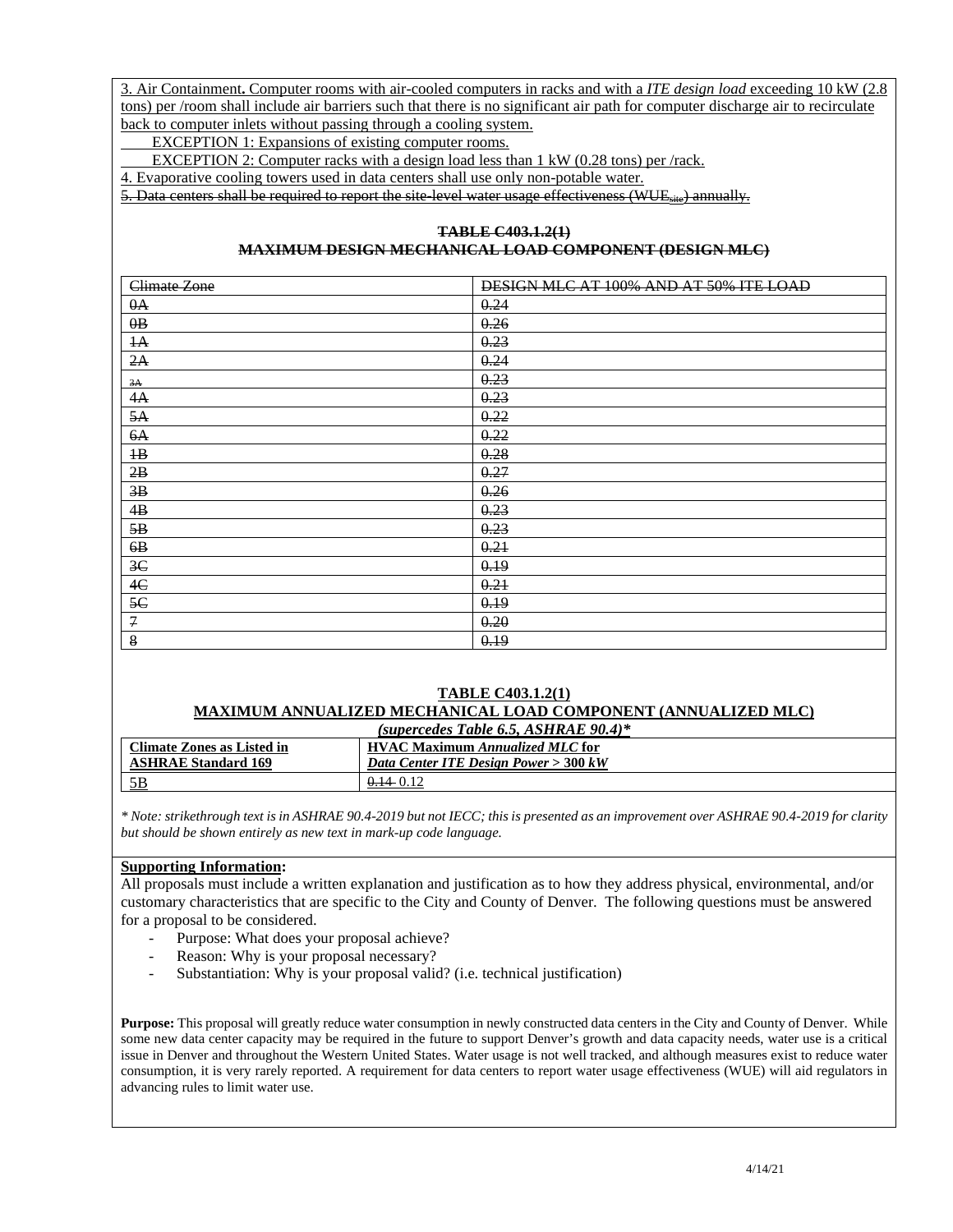3. Air Containment**.** Computer rooms with air-cooled computers in racks and with a *ITE design load* exceeding 10 kW (2.8 tons) per /room shall include air barriers such that there is no significant air path for computer discharge air to recirculate back to computer inlets without passing through a cooling system.

EXCEPTION 1: Expansions of existing computer rooms.

EXCEPTION 2: Computer racks with a design load less than 1 kW (0.28 tons) per /rack.

4. Evaporative cooling towers used in data centers shall use only non-potable water.

5. Data centers shall be required to report the site-level water usage effectiveness (WUE<sub>site</sub>) annually.

#### **TABLE C403.1.2(1) MAXIMUM DESIGN MECHANICAL LOAD COMPONENT (DESIGN MLC)**

| Climate Zone    | DESIGN MLC AT 100% AND AT 50% ITE LOAD |
|-----------------|----------------------------------------|
| 0A              | 0.24                                   |
| $\theta$ B      | 0.26                                   |
| $\mathbf{A}$    | 0.23                                   |
| 2A              | 0.24                                   |
| 3A              | 0.23                                   |
| 4A              | 0.23                                   |
| 5A              | 0.22                                   |
| 6A              | 0.22                                   |
| $\overline{AB}$ | 0.28                                   |
| 2B              | 0.27                                   |
| 3B              | 0.26                                   |
| 4B              | 0.23                                   |
| 5B              | 0.23                                   |
| 6B              | 0.21                                   |
| 3 <sup>C</sup>  | 0.19                                   |
| 4C              | 0.21                                   |
| 5C              | 0.19                                   |
| $\mathcal{I}$   | 0.20                                   |
| 8               | 0.19                                   |

#### **TABLE C403.1.2(1) MAXIMUM ANNUALIZED MECHANICAL LOAD COMPONENT (ANNUALIZED MLC)**

| (supercedes Table 6.5, ASHRAE 90.4)* |                                        |  |  |  |  |
|--------------------------------------|----------------------------------------|--|--|--|--|
| Climate Zones as Listed in           | <b>HVAC Maximum Annualized MLC for</b> |  |  |  |  |
| <b>ASHRAE Standard 169</b>           | Data Center ITE Design Power > 300 kW  |  |  |  |  |
| 5B                                   | $0.14 \cdot 0.12$                      |  |  |  |  |

*\* Note: strikethrough text is in ASHRAE 90.4-2019 but not IECC; this is presented as an improvement over ASHRAE 90.4-2019 for clarity but should be shown entirely as new text in mark-up code language.* 

#### **Supporting Information:**

All proposals must include a written explanation and justification as to how they address physical, environmental, and/or customary characteristics that are specific to the City and County of Denver. The following questions must be answered for a proposal to be considered.

- Purpose: What does your proposal achieve?
- Reason: Why is your proposal necessary?
- Substantiation: Why is your proposal valid? (i.e. technical justification)

**Purpose:** This proposal will greatly reduce water consumption in newly constructed data centers in the City and County of Denver. While some new data center capacity may be required in the future to support Denver's growth and data capacity needs, water use is a critical issue in Denver and throughout the Western United States. Water usage is not well tracked, and although measures exist to reduce water consumption, it is very rarely reported. A requirement for data centers to report water usage effectiveness (WUE) will aid regulators in advancing rules to limit water use.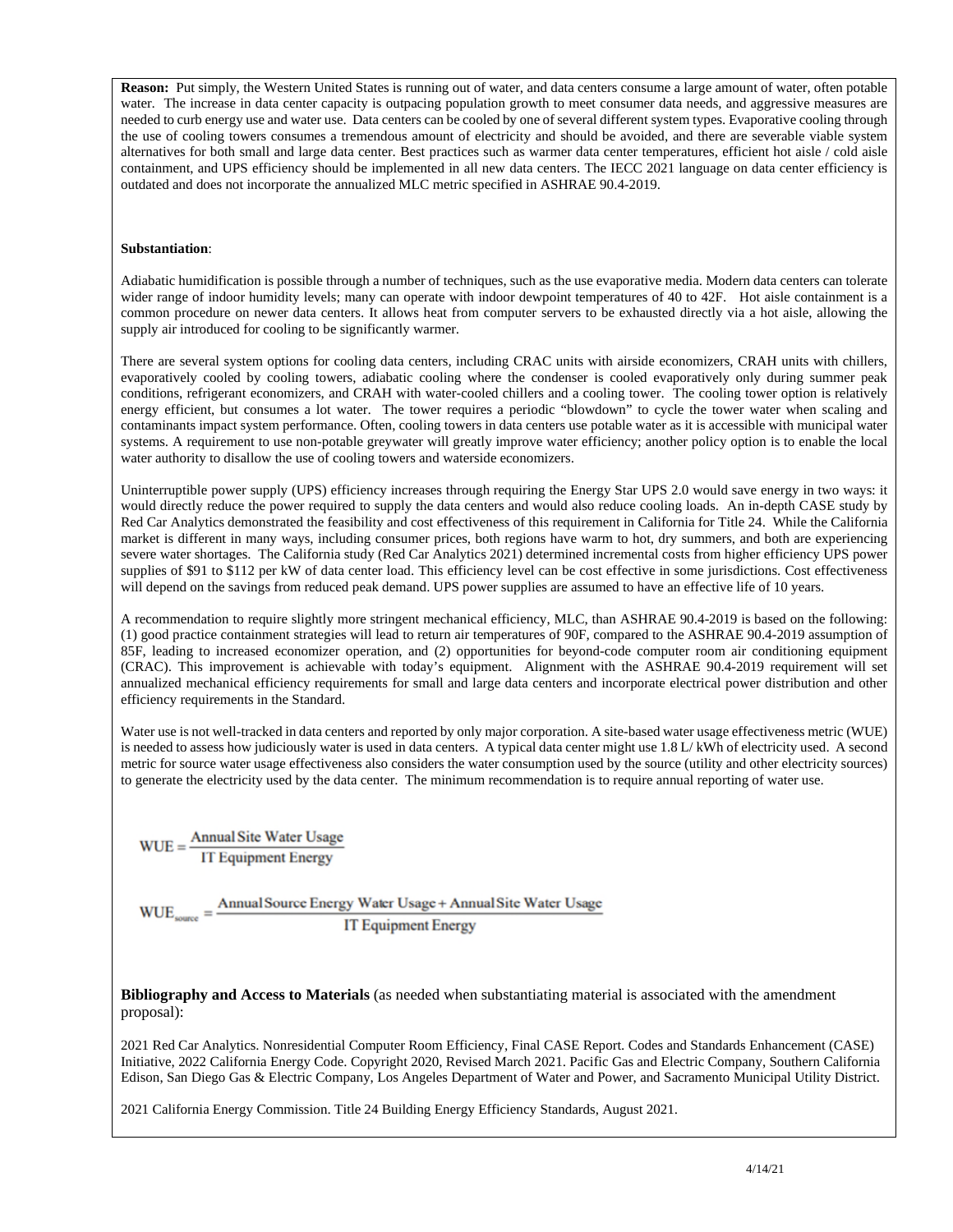**Reason:** Put simply, the Western United States is running out of water, and data centers consume a large amount of water, often potable water. The increase in data center capacity is outpacing population growth to meet consumer data needs, and aggressive measures are needed to curb energy use and water use. Data centers can be cooled by one of several different system types. Evaporative cooling through the use of cooling towers consumes a tremendous amount of electricity and should be avoided, and there are severable viable system alternatives for both small and large data center. Best practices such as warmer data center temperatures, efficient hot aisle / cold aisle containment, and UPS efficiency should be implemented in all new data centers. The IECC 2021 language on data center efficiency is outdated and does not incorporate the annualized MLC metric specified in ASHRAE 90.4-2019.

#### **Substantiation**:

Adiabatic humidification is possible through a number of techniques, such as the use evaporative media. Modern data centers can tolerate wider range of indoor humidity levels; many can operate with indoor dewpoint temperatures of 40 to 42F. Hot aisle containment is a common procedure on newer data centers. It allows heat from computer servers to be exhausted directly via a hot aisle, allowing the supply air introduced for cooling to be significantly warmer.

There are several system options for cooling data centers, including CRAC units with airside economizers, CRAH units with chillers, evaporatively cooled by cooling towers, adiabatic cooling where the condenser is cooled evaporatively only during summer peak conditions, refrigerant economizers, and CRAH with water-cooled chillers and a cooling tower. The cooling tower option is relatively energy efficient, but consumes a lot water. The tower requires a periodic "blowdown" to cycle the tower water when scaling and contaminants impact system performance. Often, cooling towers in data centers use potable water as it is accessible with municipal water systems. A requirement to use non-potable greywater will greatly improve water efficiency; another policy option is to enable the local water authority to disallow the use of cooling towers and waterside economizers.

Uninterruptible power supply (UPS) efficiency increases through requiring the Energy Star UPS 2.0 would save energy in two ways: it would directly reduce the power required to supply the data centers and would also reduce cooling loads. An in-depth CASE study by Red Car Analytics demonstrated the feasibility and cost effectiveness of this requirement in California for Title 24. While the California market is different in many ways, including consumer prices, both regions have warm to hot, dry summers, and both are experiencing severe water shortages. The California study (Red Car Analytics 2021) determined incremental costs from higher efficiency UPS power supplies of \$91 to \$112 per kW of data center load. This efficiency level can be cost effective in some jurisdictions. Cost effectiveness will depend on the savings from reduced peak demand. UPS power supplies are assumed to have an effective life of 10 years.

A recommendation to require slightly more stringent mechanical efficiency, MLC, than ASHRAE 90.4-2019 is based on the following: (1) good practice containment strategies will lead to return air temperatures of 90F, compared to the ASHRAE 90.4-2019 assumption of 85F, leading to increased economizer operation, and (2) opportunities for beyond-code computer room air conditioning equipment (CRAC). This improvement is achievable with today's equipment. Alignment with the ASHRAE 90.4-2019 requirement will set annualized mechanical efficiency requirements for small and large data centers and incorporate electrical power distribution and other efficiency requirements in the Standard.

Water use is not well-tracked in data centers and reported by only major corporation. A site-based water usage effectiveness metric (WUE) is needed to assess how judiciously water is used in data centers. A typical data center might use 1.8 L/ kWh of electricity used. A second metric for source water usage effectiveness also considers the water consumption used by the source (utility and other electricity sources) to generate the electricity used by the data center. The minimum recommendation is to require annual reporting of water use.

 $WUE = \frac{Annual Site Water Usage}{IT Equipment Energy}$ 

 $WUE_{source} = \frac{AnnualSource Energy Water Usage + Annual Site Water Usage}{TTE}$ **IT Equipment Energy** 

**Bibliography and Access to Materials** (as needed when substantiating material is associated with the amendment proposal):

2021 Red Car Analytics. Nonresidential Computer Room Efficiency, Final CASE Report. Codes and Standards Enhancement (CASE) Initiative, 2022 California Energy Code. Copyright 2020, Revised March 2021. Pacific Gas and Electric Company, Southern California Edison, San Diego Gas & Electric Company, Los Angeles Department of Water and Power, and Sacramento Municipal Utility District.

2021 California Energy Commission. Title 24 Building Energy Efficiency Standards, August 2021.